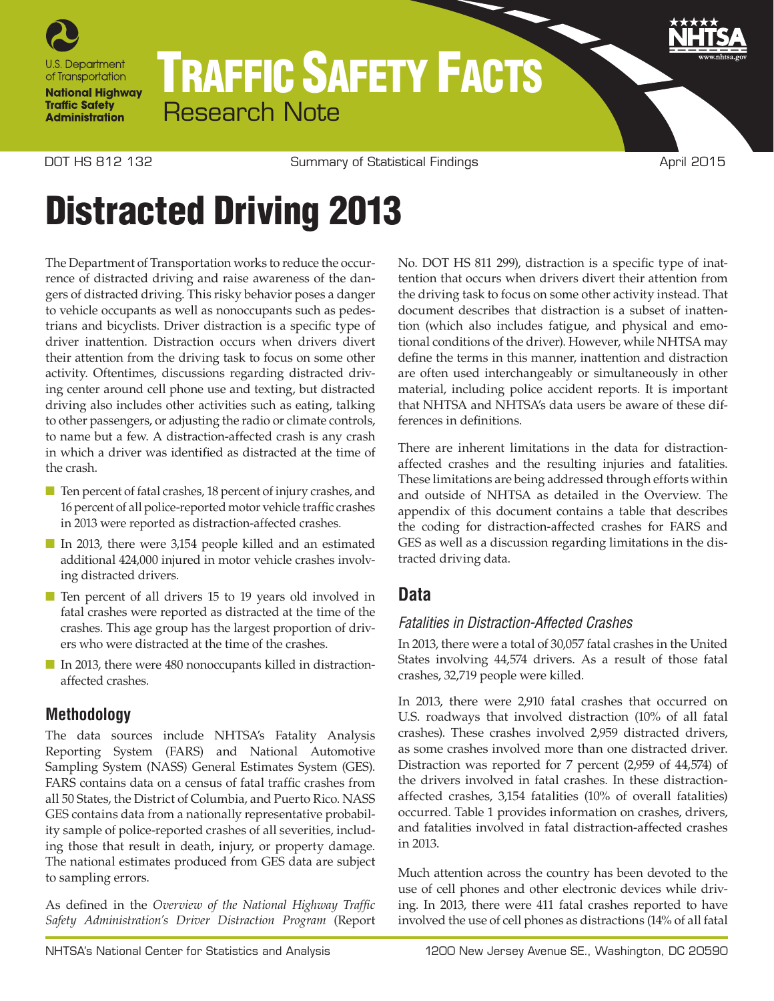

## TRAFFIC SAFETY FACTS Research Note

DOT HS 812 132 **Summary of Statistical Findings** April 2015

# Distracted Driving 2013

The Department of Transportation works to reduce the occurrence of distracted driving and raise awareness of the dangers of distracted driving. This risky behavior poses a danger to vehicle occupants as well as nonoccupants such as pedestrians and bicyclists. Driver distraction is a specific type of driver inattention. Distraction occurs when drivers divert their attention from the driving task to focus on some other activity. Oftentimes, discussions regarding distracted driving center around cell phone use and texting, but distracted driving also includes other activities such as eating, talking to other passengers, or adjusting the radio or climate controls, to name but a few. A distraction-affected crash is any crash in which a driver was identified as distracted at the time of the crash.

- Ten percent of fatal crashes, 18 percent of injury crashes, and 16 percent of all police-reported motor vehicle traffic crashes in 2013 were reported as distraction-affected crashes.
- In 2013, there were 3,154 people killed and an estimated additional 424,000 injured in motor vehicle crashes involving distracted drivers.
- Ten percent of all drivers 15 to 19 years old involved in fatal crashes were reported as distracted at the time of the crashes. This age group has the largest proportion of drivers who were distracted at the time of the crashes.
- In 2013, there were 480 nonoccupants killed in distractionaffected crashes.

## **Methodology**

The data sources include NHTSA's Fatality Analysis Reporting System (FARS) and National Automotive Sampling System (NASS) General Estimates System (GES). FARS contains data on a census of fatal traffic crashes from all 50 States, the District of Columbia, and Puerto Rico. NASS GES contains data from a nationally representative probability sample of police-reported crashes of all severities, including those that result in death, injury, or property damage. The national estimates produced from GES data are subject to sampling errors.

As defined in the *Overview of the National Highway Traffic Safety Administration's Driver Distraction Program* (Report No. DOT HS 811 299), distraction is a specific type of inattention that occurs when drivers divert their attention from the driving task to focus on some other activity instead. That document describes that distraction is a subset of inattention (which also includes fatigue, and physical and emotional conditions of the driver). However, while NHTSA may define the terms in this manner, inattention and distraction are often used interchangeably or simultaneously in other material, including police accident reports. It is important that NHTSA and NHTSA's data users be aware of these differences in definitions.

There are inherent limitations in the data for distractionaffected crashes and the resulting injuries and fatalities. These limitations are being addressed through efforts within and outside of NHTSA as detailed in the Overview. The appendix of this document contains a table that describes the coding for distraction-affected crashes for FARS and GES as well as a discussion regarding limitations in the distracted driving data.

## **Data**

## *Fatalities in Distraction-Affected Crashes*

In 2013, there were a total of 30,057 fatal crashes in the United States involving 44,574 drivers. As a result of those fatal crashes, 32,719 people were killed.

In 2013, there were 2,910 fatal crashes that occurred on U.S. roadways that involved distraction (10% of all fatal crashes). These crashes involved 2,959 distracted drivers, as some crashes involved more than one distracted driver. Distraction was reported for 7 percent (2,959 of 44,574) of the drivers involved in fatal crashes. In these distractionaffected crashes, 3,154 fatalities (10% of overall fatalities) occurred. Table 1 provides information on crashes, drivers, and fatalities involved in fatal distraction-affected crashes in 2013.

Much attention across the country has been devoted to the use of cell phones and other electronic devices while driving. In 2013, there were 411 fatal crashes reported to have involved the use of cell phones as distractions (14% of all fatal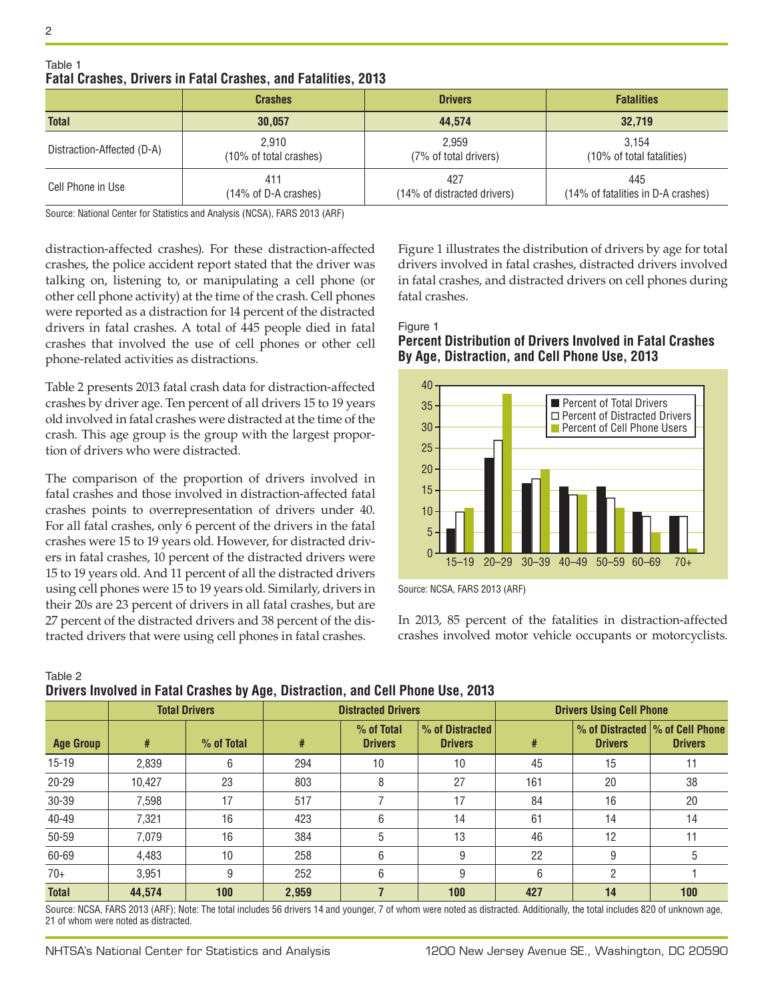|                            | <b>Crashes</b>                           | <b>Drivers</b>              | <b>Fatalities</b>                  |
|----------------------------|------------------------------------------|-----------------------------|------------------------------------|
| <b>Total</b>               | 30.057                                   | 44.574                      | 32.719                             |
| Distraction-Affected (D-A) | 2.910                                    | 2.959                       | 3.154                              |
|                            | (10% of total crashes)                   | (7% of total drivers)       | (10% of total fatalities)          |
| Cell Phone in Use          | 411                                      | 427                         | 445                                |
|                            | $(14\% \text{ of } D-A \text{ crashes})$ | (14% of distracted drivers) | (14% of fatalities in D-A crashes) |

#### Table 1 **Fatal Crashes, Drivers in Fatal Crashes, and Fatalities, 2013**

Source: National Center for Statistics and Analysis (NCSA), FARS 2013 (ARF)

distraction-affected crashes). For these distraction-affected crashes, the police accident report stated that the driver was talking on, listening to, or manipulating a cell phone (or other cell phone activity) at the time of the crash. Cell phones were reported as a distraction for 14 percent of the distracted drivers in fatal crashes. A total of 445 people died in fatal crashes that involved the use of cell phones or other cell phone-related activities as distractions.

Table 2 presents 2013 fatal crash data for distraction-affected crashes by driver age. Ten percent of all drivers 15 to 19 years old involved in fatal crashes were distracted at the time of the crash. This age group is the group with the largest proportion of drivers who were distracted.

The comparison of the proportion of drivers involved in fatal crashes and those involved in distraction-affected fatal crashes points to overrepresentation of drivers under 40. For all fatal crashes, only 6 percent of the drivers in the fatal crashes were 15 to 19 years old. However, for distracted drivers in fatal crashes, 10 percent of the distracted drivers were 15 to 19 years old. And 11 percent of all the distracted drivers using cell phones were 15 to 19 years old. Similarly, drivers in their 20s are 23 percent of drivers in all fatal crashes, but are 27 percent of the distracted drivers and 38 percent of the distracted drivers that were using cell phones in fatal crashes.

Figure 1 illustrates the distribution of drivers by age for total drivers involved in fatal crashes, distracted drivers involved in fatal crashes, and distracted drivers on cell phones during fatal crashes.

#### Figure 1 **Percent Distribution of Drivers Involved in Fatal Crashes By Age, Distraction, and Cell Phone Use, 2013**



Source: NCSA, FARS 2013 (ARF)

In 2013, 85 percent of the fatalities in distraction-affected crashes involved motor vehicle occupants or motorcyclists.

| Table 2                                                                         |  |  |
|---------------------------------------------------------------------------------|--|--|
| Drivers Involved in Fatal Crashes by Age, Distraction, and Cell Phone Use, 2013 |  |  |

|                  |        | <b>Total Drivers</b> | <b>Distracted Drivers</b> |                                |                                   | <b>Drivers Using Cell Phone</b> |                |                                                    |
|------------------|--------|----------------------|---------------------------|--------------------------------|-----------------------------------|---------------------------------|----------------|----------------------------------------------------|
| <b>Age Group</b> | #      | % of Total           | #                         | $%$ of Total<br><b>Drivers</b> | % of Distracted<br><b>Drivers</b> | #                               | <b>Drivers</b> | % of Distracted  % of Cell Phone<br><b>Drivers</b> |
| $15-19$          | 2,839  | 6                    | 294                       | 10                             | 10                                | 45                              | 15             |                                                    |
| $20 - 29$        | 10,427 | 23                   | 803                       | 8                              | 27                                | 161                             | 20             | 38                                                 |
| 30-39            | 7,598  | 17                   | 517                       |                                | 17                                | 84                              | 16             | 20                                                 |
| 40-49            | 7,321  | 16                   | 423                       | 6                              | 14                                | 61                              | 14             | 14                                                 |
| 50-59            | 7.079  | 16                   | 384                       | 5                              | 13                                | 46                              | 12             | 11                                                 |
| 60-69            | 4,483  | 10                   | 258                       | 6                              | 9                                 | 22                              | 9              |                                                    |
| $70+$            | 3,951  | 9                    | 252                       | 6                              | 9                                 | 6                               | 2              |                                                    |
| <b>Total</b>     | 44,574 | 100                  | 2,959                     |                                | 100                               | 427                             | 14             | 100                                                |

Source: NCSA, FARS 2013 (ARF); Note: The total includes 56 drivers 14 and younger, 7 of whom were noted as distracted. Additionally, the total includes 820 of unknown age, 21 of whom were noted as distracted.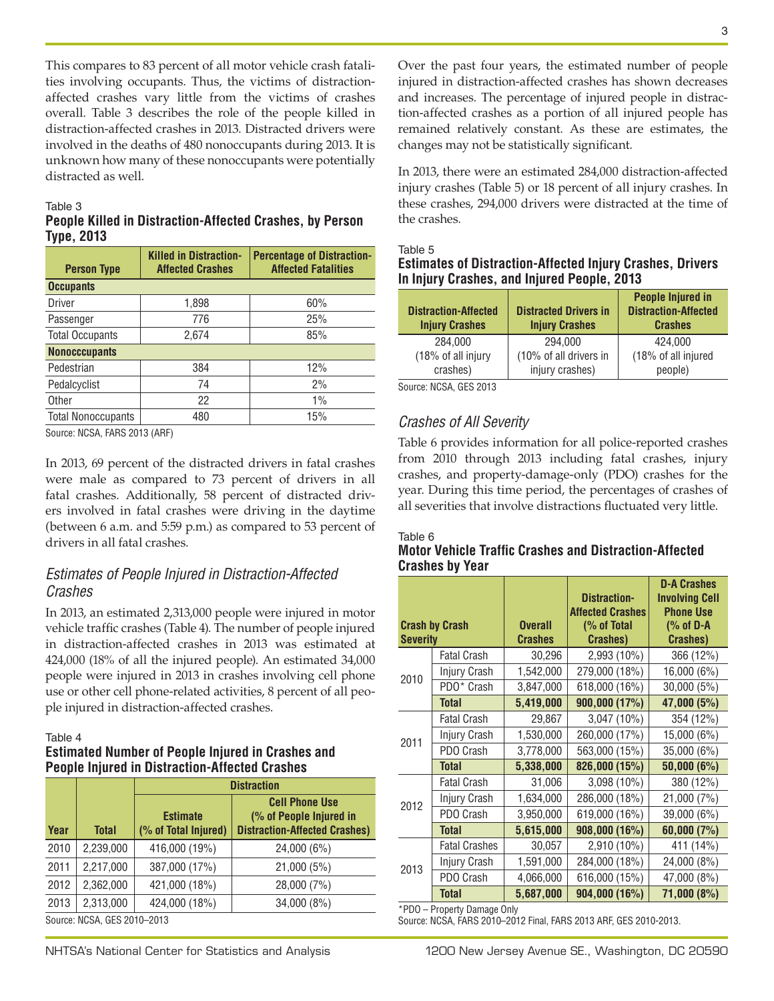This compares to 83 percent of all motor vehicle crash fatalities involving occupants. Thus, the victims of distractionaffected crashes vary little from the victims of crashes overall. Table 3 describes the role of the people killed in distraction-affected crashes in 2013. Distracted drivers were involved in the deaths of 480 nonoccupants during 2013. It is unknown how many of these nonoccupants were potentially distracted as well.

#### Table 3

#### **People Killed in Distraction-Affected Crashes, by Person Type, 2013**

| <b>Person Type</b>        | <b>Killed in Distraction-</b><br><b>Affected Crashes</b> | <b>Percentage of Distraction-</b><br><b>Affected Fatalities</b> |  |  |  |  |
|---------------------------|----------------------------------------------------------|-----------------------------------------------------------------|--|--|--|--|
| <b>Occupants</b>          |                                                          |                                                                 |  |  |  |  |
| Driver                    | 1,898                                                    | 60%                                                             |  |  |  |  |
| Passenger                 | 776                                                      | 25%                                                             |  |  |  |  |
| <b>Total Occupants</b>    | 2,674                                                    | 85%                                                             |  |  |  |  |
| <b>Nonocccupants</b>      |                                                          |                                                                 |  |  |  |  |
| Pedestrian                | 384                                                      | 12%                                                             |  |  |  |  |
| Pedalcyclist              | 74                                                       | 2%                                                              |  |  |  |  |
| Other                     | 22                                                       | 1%                                                              |  |  |  |  |
| <b>Total Nonoccupants</b> | 480                                                      | 15%                                                             |  |  |  |  |
|                           |                                                          |                                                                 |  |  |  |  |

Source: NCSA, FARS 2013 (ARF)

In 2013, 69 percent of the distracted drivers in fatal crashes were male as compared to 73 percent of drivers in all fatal crashes. Additionally, 58 percent of distracted drivers involved in fatal crashes were driving in the daytime (between 6 a.m. and 5:59 p.m.) as compared to 53 percent of drivers in all fatal crashes.

#### *Estimates of People Injured in Distraction-Affected Crashes*

In 2013, an estimated 2,313,000 people were injured in motor vehicle traffic crashes (Table 4). The number of people injured in distraction-affected crashes in 2013 was estimated at 424,000 (18% of all the injured people). An estimated 34,000 people were injured in 2013 in crashes involving cell phone use or other cell phone-related activities, 8 percent of all people injured in distraction-affected crashes.

#### Table 4

#### **Estimated Number of People Injured in Crashes and People Injured in Distraction-Affected Crashes**

|                             |           | <b>Distraction</b>                                                                                                                  |             |  |  |
|-----------------------------|-----------|-------------------------------------------------------------------------------------------------------------------------------------|-------------|--|--|
| Year                        | Total     | <b>Cell Phone Use</b><br>(% of People Injured in<br><b>Estimate</b><br><b>Distraction-Affected Crashes)</b><br>(% of Total Injured) |             |  |  |
| 2010                        | 2,239,000 | 416,000 (19%)                                                                                                                       | 24,000 (6%) |  |  |
| 2011                        | 2,217,000 | 387,000 (17%)                                                                                                                       | 21,000 (5%) |  |  |
| 2012                        | 2,362,000 | 421,000 (18%)                                                                                                                       | 28,000 (7%) |  |  |
| 2013                        | 2,313,000 | 424,000 (18%)                                                                                                                       | 34,000 (8%) |  |  |
| Source: NCSA, GES 2010-2013 |           |                                                                                                                                     |             |  |  |

Over the past four years, the estimated number of people injured in distraction-affected crashes has shown decreases and increases. The percentage of injured people in distraction-affected crashes as a portion of all injured people has remained relatively constant. As these are estimates, the changes may not be statistically significant.

In 2013, there were an estimated 284,000 distraction-affected injury crashes (Table 5) or 18 percent of all injury crashes. In these crashes, 294,000 drivers were distracted at the time of the crashes.

#### Table 5 **Estimates of Distraction-Affected Injury Crashes, Drivers In Injury Crashes, and Injured People, 2013**

| <b>Distraction-Affected</b><br><b>Injury Crashes</b> | <b>Distracted Drivers in</b><br><b>Injury Crashes</b> | <b>People Injured in</b><br><b>Distraction-Affected</b><br><b>Crashes</b> |
|------------------------------------------------------|-------------------------------------------------------|---------------------------------------------------------------------------|
| 284.000                                              | 294.000                                               | 424.000                                                                   |
| (18% of all injury<br>crashes)                       | (10% of all drivers in<br>injury crashes)             | (18% of all injured<br>people)                                            |
|                                                      |                                                       |                                                                           |

Source: NCSA, GES 2013

#### *Crashes of All Severity*

Table 6 provides information for all police-reported crashes from 2010 through 2013 including fatal crashes, injury crashes, and property-damage-only (PDO) crashes for the year. During this time period, the percentages of crashes of all severities that involve distractions fluctuated very little.

#### Table 6

#### **Motor Vehicle Traffic Crashes and Distraction-Affected Crashes by Year**

|                 |                       |                | <b>Distraction-</b><br><b>Affected Crashes</b> | <b>D-A Crashes</b><br><b>Involving Cell</b><br><b>Phone Use</b> |
|-----------------|-----------------------|----------------|------------------------------------------------|-----------------------------------------------------------------|
|                 | <b>Crash by Crash</b> | <b>Overall</b> | (% of Total                                    | $% of D-A$                                                      |
| <b>Severity</b> |                       | <b>Crashes</b> | <b>Crashes</b> )                               | <b>Crashes</b> )                                                |
|                 | <b>Fatal Crash</b>    | 30,296         | 2,993 (10%)                                    | 366 (12%)                                                       |
| 2010            | Injury Crash          | 1,542,000      | 279,000 (18%)                                  | 16,000 (6%)                                                     |
|                 | PDO* Crash            | 3,847,000      | 618,000 (16%)                                  | 30,000 (5%)                                                     |
|                 | <b>Total</b>          | 5,419,000      | 900,000 (17%)                                  | 47,000 (5%)                                                     |
|                 | <b>Fatal Crash</b>    | 29,867         | 3,047 (10%)                                    | 354 (12%)                                                       |
| 2011            | Injury Crash          | 1,530,000      | 260,000 (17%)                                  | 15,000 (6%)                                                     |
|                 | PDO Crash             | 3,778,000      | 563,000 (15%)                                  | 35,000 (6%)                                                     |
|                 | <b>Total</b>          | 5,338,000      | 826,000 (15%)                                  | 50,000(6%)                                                      |
|                 | <b>Fatal Crash</b>    | 31,006         | 3,098 (10%)                                    | 380 (12%)                                                       |
| 2012            | Injury Crash          | 1,634,000      | 286,000 (18%)                                  | 21,000 (7%)                                                     |
|                 | PDO Crash             | 3,950,000      | 619,000 (16%)                                  | 39,000 (6%)                                                     |
|                 | <b>Total</b>          | 5,615,000      | 908,000 (16%)                                  | 60,000(7%)                                                      |
|                 | <b>Fatal Crashes</b>  | 30,057         | 2,910 (10%)                                    | 411 (14%)                                                       |
| 2013            | Injury Crash          | 1,591,000      | 284,000 (18%)                                  | 24,000 (8%)                                                     |
|                 | PDO Crash             | 4,066,000      | 616,000 (15%)                                  | 47,000 (8%)                                                     |
|                 | <b>Total</b>          | 5,687,000      | 904,000 (16%)                                  | 71,000 (8%)                                                     |

\*PDO – Property Damage Only

Source: NCSA, FARS 2010–2012 Final, FARS 2013 ARF, GES 2010-2013.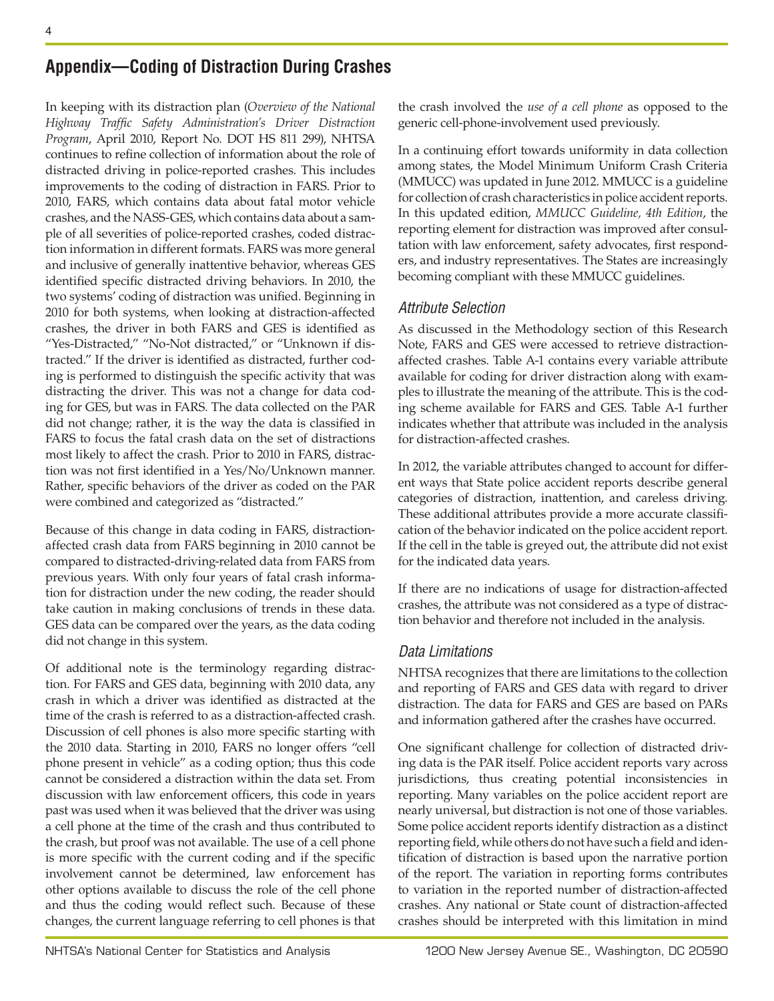## **Appendix—Coding of Distraction During Crashes**

In keeping with its distraction plan (*Overview of the National Highway Traffic Safety Administration's Driver Distraction Program*, April 2010, Report No. DOT HS 811 299), NHTSA continues to refine collection of information about the role of distracted driving in police-reported crashes. This includes improvements to the coding of distraction in FARS. Prior to 2010, FARS, which contains data about fatal motor vehicle crashes, and the NASS-GES, which contains data about a sample of all severities of police-reported crashes, coded distraction information in different formats. FARS was more general and inclusive of generally inattentive behavior, whereas GES identified specific distracted driving behaviors. In 2010, the two systems' coding of distraction was unified. Beginning in 2010 for both systems, when looking at distraction-affected crashes, the driver in both FARS and GES is identified as "Yes-Distracted," "No-Not distracted," or "Unknown if distracted." If the driver is identified as distracted, further coding is performed to distinguish the specific activity that was distracting the driver. This was not a change for data coding for GES, but was in FARS. The data collected on the PAR did not change; rather, it is the way the data is classified in FARS to focus the fatal crash data on the set of distractions most likely to affect the crash. Prior to 2010 in FARS, distraction was not first identified in a Yes/No/Unknown manner. Rather, specific behaviors of the driver as coded on the PAR were combined and categorized as "distracted."

Because of this change in data coding in FARS, distractionaffected crash data from FARS beginning in 2010 cannot be compared to distracted-driving-related data from FARS from previous years. With only four years of fatal crash information for distraction under the new coding, the reader should take caution in making conclusions of trends in these data. GES data can be compared over the years, as the data coding did not change in this system.

Of additional note is the terminology regarding distraction. For FARS and GES data, beginning with 2010 data, any crash in which a driver was identified as distracted at the time of the crash is referred to as a distraction-affected crash. Discussion of cell phones is also more specific starting with the 2010 data. Starting in 2010, FARS no longer offers "cell phone present in vehicle" as a coding option; thus this code cannot be considered a distraction within the data set. From discussion with law enforcement officers, this code in years past was used when it was believed that the driver was using a cell phone at the time of the crash and thus contributed to the crash, but proof was not available. The use of a cell phone is more specific with the current coding and if the specific involvement cannot be determined, law enforcement has other options available to discuss the role of the cell phone and thus the coding would reflect such. Because of these changes, the current language referring to cell phones is that

the crash involved the *use of a cell phone* as opposed to the generic cell-phone-involvement used previously.

In a continuing effort towards uniformity in data collection among states, the Model Minimum Uniform Crash Criteria (MMUCC) was updated in June 2012. MMUCC is a guideline for collection of crash characteristics in police accident reports. In this updated edition, *MMUCC Guideline, 4th Edition*, the reporting element for distraction was improved after consultation with law enforcement, safety advocates, first responders, and industry representatives. The States are increasingly becoming compliant with these MMUCC guidelines.

#### *Attribute Selection*

As discussed in the Methodology section of this Research Note, FARS and GES were accessed to retrieve distractionaffected crashes. Table A-1 contains every variable attribute available for coding for driver distraction along with examples to illustrate the meaning of the attribute. This is the coding scheme available for FARS and GES. Table A-1 further indicates whether that attribute was included in the analysis for distraction-affected crashes.

In 2012, the variable attributes changed to account for different ways that State police accident reports describe general categories of distraction, inattention, and careless driving. These additional attributes provide a more accurate classification of the behavior indicated on the police accident report. If the cell in the table is greyed out, the attribute did not exist for the indicated data years.

If there are no indications of usage for distraction-affected crashes, the attribute was not considered as a type of distraction behavior and therefore not included in the analysis.

### *Data Limitations*

NHTSA recognizes that there are limitations to the collection and reporting of FARS and GES data with regard to driver distraction. The data for FARS and GES are based on PARs and information gathered after the crashes have occurred.

One significant challenge for collection of distracted driving data is the PAR itself. Police accident reports vary across jurisdictions, thus creating potential inconsistencies in reporting. Many variables on the police accident report are nearly universal, but distraction is not one of those variables. Some police accident reports identify distraction as a distinct reporting field, while others do not have such a field and identification of distraction is based upon the narrative portion of the report. The variation in reporting forms contributes to variation in the reported number of distraction-affected crashes. Any national or State count of distraction-affected crashes should be interpreted with this limitation in mind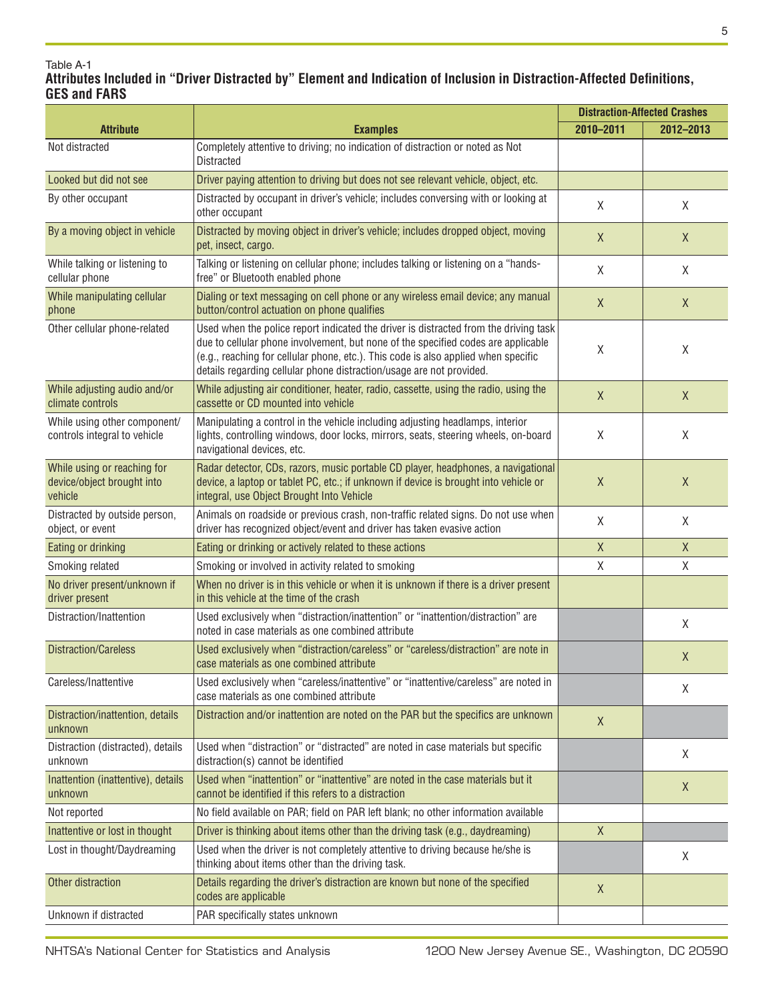#### Table A-1 **Attributes Included in "Driver Distracted by" Element and Indication of Inclusion in Distraction-Affected Definitions, GES and FARS**

|                                                                      |                                                                                                                                                                                                                                                                                                                                         | <b>Distraction-Affected Crashes</b> |             |
|----------------------------------------------------------------------|-----------------------------------------------------------------------------------------------------------------------------------------------------------------------------------------------------------------------------------------------------------------------------------------------------------------------------------------|-------------------------------------|-------------|
| <b>Attribute</b>                                                     | <b>Examples</b>                                                                                                                                                                                                                                                                                                                         | 2010-2011                           | 2012-2013   |
| Not distracted                                                       | Completely attentive to driving; no indication of distraction or noted as Not<br><b>Distracted</b>                                                                                                                                                                                                                                      |                                     |             |
| Looked but did not see                                               | Driver paying attention to driving but does not see relevant vehicle, object, etc.                                                                                                                                                                                                                                                      |                                     |             |
| By other occupant                                                    | Distracted by occupant in driver's vehicle; includes conversing with or looking at<br>other occupant                                                                                                                                                                                                                                    | X                                   | X           |
| By a moving object in vehicle                                        | Distracted by moving object in driver's vehicle; includes dropped object, moving<br>pet, insect, cargo.                                                                                                                                                                                                                                 | $\mathsf{X}$                        | X           |
| While talking or listening to<br>cellular phone                      | Talking or listening on cellular phone; includes talking or listening on a "hands-<br>free" or Bluetooth enabled phone                                                                                                                                                                                                                  | X                                   | X           |
| While manipulating cellular<br>phone                                 | Dialing or text messaging on cell phone or any wireless email device; any manual<br>button/control actuation on phone qualifies                                                                                                                                                                                                         | $\mathsf X$                         | X           |
| Other cellular phone-related                                         | Used when the police report indicated the driver is distracted from the driving task<br>due to cellular phone involvement, but none of the specified codes are applicable<br>(e.g., reaching for cellular phone, etc.). This code is also applied when specific<br>details regarding cellular phone distraction/usage are not provided. | X                                   | X           |
| While adjusting audio and/or<br>climate controls                     | While adjusting air conditioner, heater, radio, cassette, using the radio, using the<br>cassette or CD mounted into vehicle                                                                                                                                                                                                             | X                                   | X           |
| While using other component/<br>controls integral to vehicle         | Manipulating a control in the vehicle including adjusting headlamps, interior<br>lights, controlling windows, door locks, mirrors, seats, steering wheels, on-board<br>navigational devices, etc.                                                                                                                                       | X                                   | χ           |
| While using or reaching for<br>device/object brought into<br>vehicle | Radar detector, CDs, razors, music portable CD player, headphones, a navigational<br>device, a laptop or tablet PC, etc.; if unknown if device is brought into vehicle or<br>integral, use Object Brought Into Vehicle                                                                                                                  | X                                   | X           |
| Distracted by outside person,<br>object, or event                    | Animals on roadside or previous crash, non-traffic related signs. Do not use when<br>driver has recognized object/event and driver has taken evasive action                                                                                                                                                                             | X                                   | X           |
| Eating or drinking                                                   | Eating or drinking or actively related to these actions                                                                                                                                                                                                                                                                                 | $\mathsf X$                         | $\mathsf X$ |
| Smoking related                                                      | Smoking or involved in activity related to smoking                                                                                                                                                                                                                                                                                      | $\mathsf{X}$                        | Χ           |
| No driver present/unknown if<br>driver present                       | When no driver is in this vehicle or when it is unknown if there is a driver present<br>in this vehicle at the time of the crash                                                                                                                                                                                                        |                                     |             |
| Distraction/Inattention                                              | Used exclusively when "distraction/inattention" or "inattention/distraction" are<br>noted in case materials as one combined attribute                                                                                                                                                                                                   |                                     | χ           |
| <b>Distraction/Careless</b>                                          | Used exclusively when "distraction/careless" or "careless/distraction" are note in<br>case materials as one combined attribute                                                                                                                                                                                                          |                                     | X           |
| Careless/Inattentive                                                 | Used exclusively when "careless/inattentive" or "inattentive/careless" are noted in<br>case materials as one combined attribute                                                                                                                                                                                                         |                                     | X           |
| Distraction/inattention, details<br>unknown                          | Distraction and/or inattention are noted on the PAR but the specifics are unknown                                                                                                                                                                                                                                                       | X                                   |             |
| Distraction (distracted), details<br>unknown                         | Used when "distraction" or "distracted" are noted in case materials but specific<br>distraction(s) cannot be identified                                                                                                                                                                                                                 |                                     | X           |
| Inattention (inattentive), details<br>unknown                        | Used when "inattention" or "inattentive" are noted in the case materials but it<br>cannot be identified if this refers to a distraction                                                                                                                                                                                                 |                                     | X           |
| Not reported                                                         | No field available on PAR; field on PAR left blank; no other information available                                                                                                                                                                                                                                                      |                                     |             |
| Inattentive or lost in thought                                       | Driver is thinking about items other than the driving task (e.g., daydreaming)                                                                                                                                                                                                                                                          | $\mathsf{X}$                        |             |
| Lost in thought/Daydreaming                                          | Used when the driver is not completely attentive to driving because he/she is<br>thinking about items other than the driving task.                                                                                                                                                                                                      |                                     | X           |
| Other distraction                                                    | Details regarding the driver's distraction are known but none of the specified<br>codes are applicable                                                                                                                                                                                                                                  | X                                   |             |
| Unknown if distracted                                                | PAR specifically states unknown                                                                                                                                                                                                                                                                                                         |                                     |             |